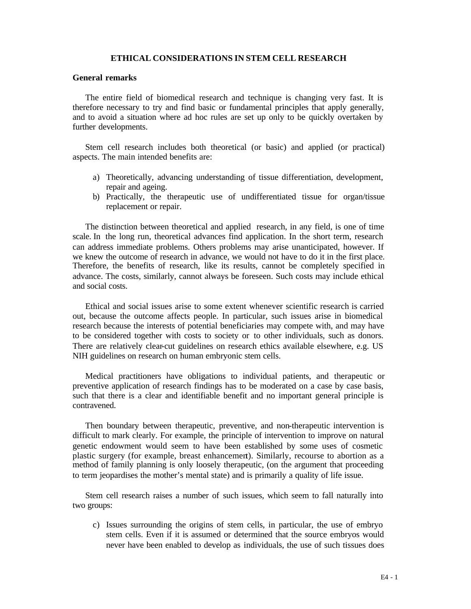## **ETHICAL CONSIDERATIONS IN STEM CELL RESEARCH**

# **General remarks**

The entire field of biomedical research and technique is changing very fast. It is therefore necessary to try and find basic or fundamental principles that apply generally, and to avoid a situation where ad hoc rules are set up only to be quickly overtaken by further developments.

Stem cell research includes both theoretical (or basic) and applied (or practical) aspects. The main intended benefits are:

- a) Theoretically, advancing understanding of tissue differentiation, development, repair and ageing.
- b) Practically, the therapeutic use of undifferentiated tissue for organ/tissue replacement or repair.

The distinction between theoretical and applied research, in any field, is one of time scale. In the long run, theoretical advances find application. In the short term, research can address immediate problems. Others problems may arise unanticipated, however. If we knew the outcome of research in advance, we would not have to do it in the first place. Therefore, the benefits of research, like its results, cannot be completely specified in advance. The costs, similarly, cannot always be foreseen. Such costs may include ethical and social costs.

Ethical and social issues arise to some extent whenever scientific research is carried out, because the outcome affects people. In particular, such issues arise in biomedical research because the interests of potential beneficiaries may compete with, and may have to be considered together with costs to society or to other individuals, such as donors. There are relatively clear-cut guidelines on research ethics available elsewhere, e.g. US NIH guidelines on research on human embryonic stem cells.

Medical practitioners have obligations to individual patients, and therapeutic or preventive application of research findings has to be moderated on a case by case basis, such that there is a clear and identifiable benefit and no important general principle is contravened.

Then boundary between therapeutic, preventive, and non-therapeutic intervention is difficult to mark clearly. For example, the principle of intervention to improve on natural genetic endowment would seem to have been established by some uses of cosmetic plastic surgery (for example, breast enhancement). Similarly, recourse to abortion as a method of family planning is only loosely therapeutic, (on the argument that proceeding to term jeopardises the mother's mental state) and is primarily a quality of life issue.

Stem cell research raises a number of such issues, which seem to fall naturally into two groups:

c) Issues surrounding the origins of stem cells, in particular, the use of embryo stem cells. Even if it is assumed or determined that the source embryos would never have been enabled to develop as individuals, the use of such tissues does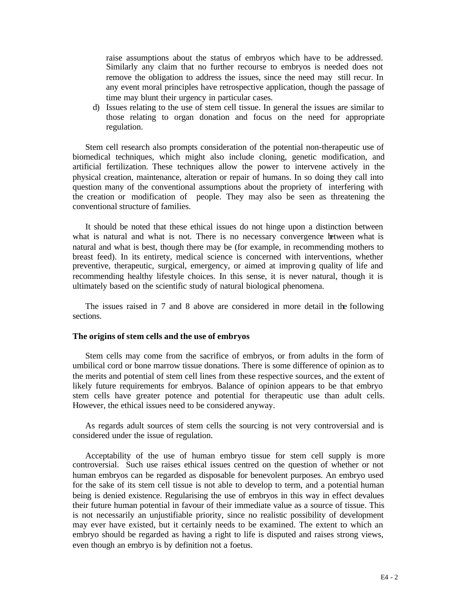raise assumptions about the status of embryos which have to be addressed. Similarly any claim that no further recourse to embryos is needed does not remove the obligation to address the issues, since the need may still recur. In any event moral principles have retrospective application, though the passage of time may blunt their urgency in particular cases.

d) Issues relating to the use of stem cell tissue. In general the issues are similar to those relating to organ donation and focus on the need for appropriate regulation.

Stem cell research also prompts consideration of the potential non-therapeutic use of biomedical techniques, which might also include cloning, genetic modification, and artificial fertilization. These techniques allow the power to intervene actively in the physical creation, maintenance, alteration or repair of humans. In so doing they call into question many of the conventional assumptions about the propriety of interfering with the creation or modification of people. They may also be seen as threatening the conventional structure of families.

It should be noted that these ethical issues do not hinge upon a distinction between what is natural and what is not. There is no necessary convergence between what is natural and what is best, though there may be (for example, in recommending mothers to breast feed). In its entirety, medical science is concerned with interventions, whether preventive, therapeutic, surgical, emergency, or aimed at improvin g quality of life and recommending healthy lifestyle choices. In this sense, it is never natural, though it is ultimately based on the scientific study of natural biological phenomena.

The issues raised in 7 and 8 above are considered in more detail in the following sections.

## **The origins of stem cells and the use of embryos**

Stem cells may come from the sacrifice of embryos, or from adults in the form of umbilical cord or bone marrow tissue donations. There is some difference of opinion as to the merits and potential of stem cell lines from these respective sources, and the extent of likely future requirements for embryos. Balance of opinion appears to be that embryo stem cells have greater potence and potential for therapeutic use than adult cells. However, the ethical issues need to be considered anyway.

As regards adult sources of stem cells the sourcing is not very controversial and is considered under the issue of regulation.

Acceptability of the use of human embryo tissue for stem cell supply is more controversial. Such use raises ethical issues centred on the question of whether or not human embryos can be regarded as disposable for benevolent purposes. An embryo used for the sake of its stem cell tissue is not able to develop to term, and a potential human being is denied existence. Regularising the use of embryos in this way in effect devalues their future human potential in favour of their immediate value as a source of tissue. This is not necessarily an unjustifiable priority, since no realistic possibility of development may ever have existed, but it certainly needs to be examined. The extent to which an embryo should be regarded as having a right to life is disputed and raises strong views, even though an embryo is by definition not a foetus.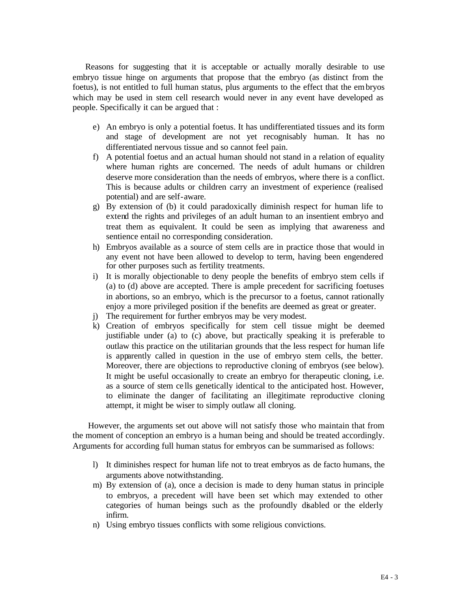Reasons for suggesting that it is acceptable or actually morally desirable to use embryo tissue hinge on arguments that propose that the embryo (as distinct from the foetus), is not entitled to full human status, plus arguments to the effect that the embryos which may be used in stem cell research would never in any event have developed as people. Specifically it can be argued that :

- e) An embryo is only a potential foetus. It has undifferentiated tissues and its form and stage of development are not yet recognisably human. It has no differentiated nervous tissue and so cannot feel pain.
- f) A potential foetus and an actual human should not stand in a relation of equality where human rights are concerned. The needs of adult humans or children deserve more consideration than the needs of embryos, where there is a conflict. This is because adults or children carry an investment of experience (realised potential) and are self-aware.
- g) By extension of (b) it could paradoxically diminish respect for human life to extend the rights and privileges of an adult human to an insentient embryo and treat them as equivalent. It could be seen as implying that awareness and sentience entail no corresponding consideration.
- h) Embryos available as a source of stem cells are in practice those that would in any event not have been allowed to develop to term, having been engendered for other purposes such as fertility treatments.
- i) It is morally objectionable to deny people the benefits of embryo stem cells if (a) to (d) above are accepted. There is ample precedent for sacrificing foetuses in abortions, so an embryo, which is the precursor to a foetus, cannot rationally enjoy a more privileged position if the benefits are deemed as great or greater.
- j) The requirement for further embryos may be very modest.
- k) Creation of embryos specifically for stem cell tissue might be deemed justifiable under (a) to (c) above, but practically speaking it is preferable to outlaw this practice on the utilitarian grounds that the less respect for human life is apparently called in question in the use of embryo stem cells, the better. Moreover, there are objections to reproductive cloning of embryos (see below). It might be useful occasionally to create an embryo for therapeutic cloning, i.e. as a source of stem ce lls genetically identical to the anticipated host. However, to eliminate the danger of facilitating an illegitimate reproductive cloning attempt, it might be wiser to simply outlaw all cloning.

 However, the arguments set out above will not satisfy those who maintain that from the moment of conception an embryo is a human being and should be treated accordingly. Arguments for according full human status for embryos can be summarised as follows:

- l) It diminishes respect for human life not to treat embryos as de facto humans, the arguments above notwithstanding.
- m) By extension of (a), once a decision is made to deny human status in principle to embryos, a precedent will have been set which may extended to other categories of human beings such as the profoundly disabled or the elderly infirm.
- n) Using embryo tissues conflicts with some religious convictions.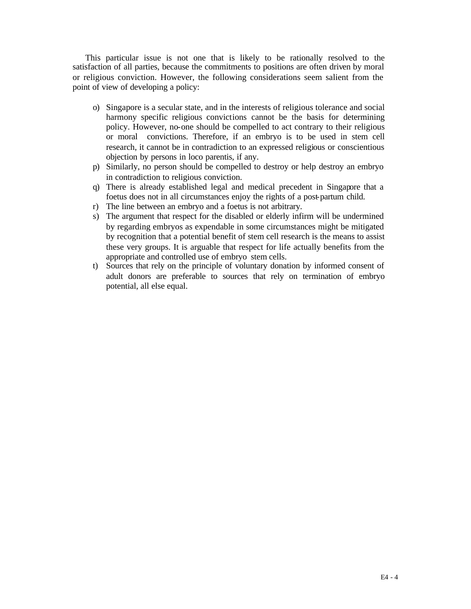This particular issue is not one that is likely to be rationally resolved to the satisfaction of all parties, because the commitments to positions are often driven by moral or religious conviction. However, the following considerations seem salient from the point of view of developing a policy:

- o) Singapore is a secular state, and in the interests of religious tolerance and social harmony specific religious convictions cannot be the basis for determining policy. However, no-one should be compelled to act contrary to their religious or moral convictions. Therefore, if an embryo is to be used in stem cell research, it cannot be in contradiction to an expressed religious or conscientious objection by persons in loco parentis, if any.
- p) Similarly, no person should be compelled to destroy or help destroy an embryo in contradiction to religious conviction.
- q) There is already established legal and medical precedent in Singapore that a foetus does not in all circumstances enjoy the rights of a post-partum child.
- r) The line between an embryo and a foetus is not arbitrary.
- s) The argument that respect for the disabled or elderly infirm will be undermined by regarding embryos as expendable in some circumstances might be mitigated by recognition that a potential benefit of stem cell research is the means to assist these very groups. It is arguable that respect for life actually benefits from the appropriate and controlled use of embryo stem cells.
- t) Sources that rely on the principle of voluntary donation by informed consent of adult donors are preferable to sources that rely on termination of embryo potential, all else equal.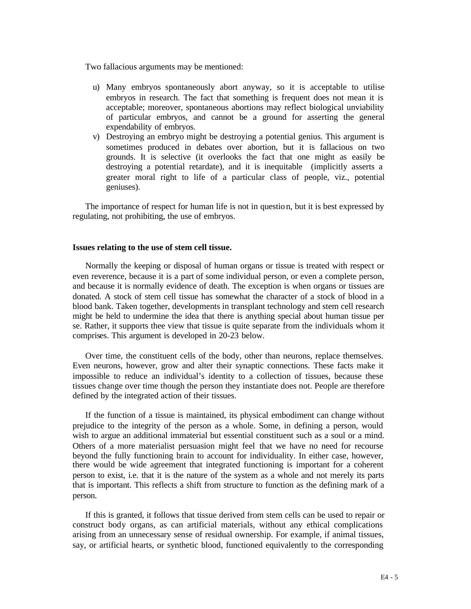Two fallacious arguments may be mentioned:

- u) Many embryos spontaneously abort anyway, so it is acceptable to utilise embryos in research. The fact that something is frequent does not mean it is acceptable; moreover, spontaneous abortions may reflect biological unviability of particular embryos, and cannot be a ground for asserting the general expendability of embryos.
- v) Destroying an embryo might be destroying a potential genius. This argument is sometimes produced in debates over abortion, but it is fallacious on two grounds. It is selective (it overlooks the fact that one might as easily be destroying a potential retardate), and it is inequitable (implicitly asserts a greater moral right to life of a particular class of people, viz., potential geniuses).

The importance of respect for human life is not in questio n, but it is best expressed by regulating, not prohibiting, the use of embryos.

#### **Issues relating to the use of stem cell tissue.**

Normally the keeping or disposal of human organs or tissue is treated with respect or even reverence, because it is a part of some individual person, or even a complete person, and because it is normally evidence of death. The exception is when organs or tissues are donated. A stock of stem cell tissue has somewhat the character of a stock of blood in a blood bank. Taken together, developments in transplant technology and stem cell research might be held to undermine the idea that there is anything special about human tissue per se. Rather, it supports thee view that tissue is quite separate from the individuals whom it comprises. This argument is developed in 20-23 below.

Over time, the constituent cells of the body, other than neurons, replace themselves. Even neurons, however, grow and alter their synaptic connections. These facts make it impossible to reduce an individual's identity to a collection of tissues, because these tissues change over time though the person they instantiate does not. People are therefore defined by the integrated action of their tissues.

If the function of a tissue is maintained, its physical embodiment can change without prejudice to the integrity of the person as a whole. Some, in defining a person, would wish to argue an additional immaterial but essential constituent such as a soul or a mind. Others of a more materialist persuasion might feel that we have no need for recourse beyond the fully functioning brain to account for individuality. In either case, however, there would be wide agreement that integrated functioning is important for a coherent person to exist, i.e. that it is the nature of the system as a whole and not merely its parts that is important. This reflects a shift from structure to function as the defining mark of a person.

If this is granted, it follows that tissue derived from stem cells can be used to repair or construct body organs, as can artificial materials, without any ethical complications arising from an unnecessary sense of residual ownership. For example, if animal tissues, say, or artificial hearts, or synthetic blood, functioned equivalently to the corresponding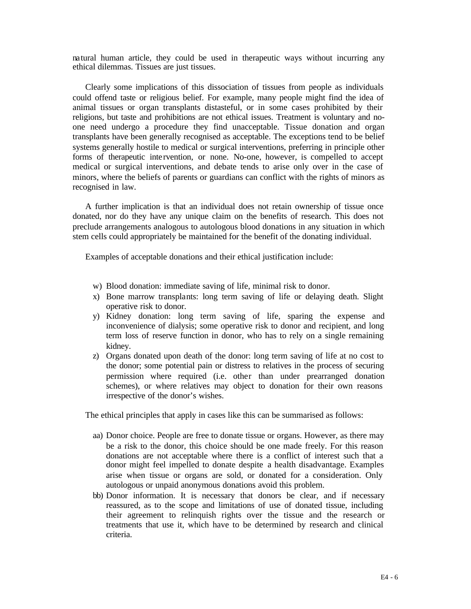natural human article, they could be used in therapeutic ways without incurring any ethical dilemmas. Tissues are just tissues.

Clearly some implications of this dissociation of tissues from people as individuals could offend taste or religious belief. For example, many people might find the idea of animal tissues or organ transplants distasteful, or in some cases prohibited by their religions, but taste and prohibitions are not ethical issues. Treatment is voluntary and noone need undergo a procedure they find unacceptable. Tissue donation and organ transplants have been generally recognised as acceptable. The exceptions tend to be belief systems generally hostile to medical or surgical interventions, preferring in principle other forms of therapeutic inte rvention, or none. No-one, however, is compelled to accept medical or surgical interventions, and debate tends to arise only over in the case of minors, where the beliefs of parents or guardians can conflict with the rights of minors as recognised in law.

A further implication is that an individual does not retain ownership of tissue once donated, nor do they have any unique claim on the benefits of research. This does not preclude arrangements analogous to autologous blood donations in any situation in which stem cells could appropriately be maintained for the benefit of the donating individual.

Examples of acceptable donations and their ethical justification include:

- w) Blood donation: immediate saving of life, minimal risk to donor.
- x) Bone marrow transplants: long term saving of life or delaying death. Slight operative risk to donor.
- y) Kidney donation: long term saving of life, sparing the expense and inconvenience of dialysis; some operative risk to donor and recipient, and long term loss of reserve function in donor, who has to rely on a single remaining kidney.
- z) Organs donated upon death of the donor: long term saving of life at no cost to the donor; some potential pain or distress to relatives in the process of securing permission where required (i.e. other than under prearranged donation schemes), or where relatives may object to donation for their own reasons irrespective of the donor's wishes.

The ethical principles that apply in cases like this can be summarised as follows:

- aa) Donor choice. People are free to donate tissue or organs. However, as there may be a risk to the donor, this choice should be one made freely. For this reason donations are not acceptable where there is a conflict of interest such that a donor might feel impelled to donate despite a health disadvantage. Examples arise when tissue or organs are sold, or donated for a consideration. Only autologous or unpaid anonymous donations avoid this problem.
- bb) Donor information. It is necessary that donors be clear, and if necessary reassured, as to the scope and limitations of use of donated tissue, including their agreement to relinquish rights over the tissue and the research or treatments that use it, which have to be determined by research and clinical criteria.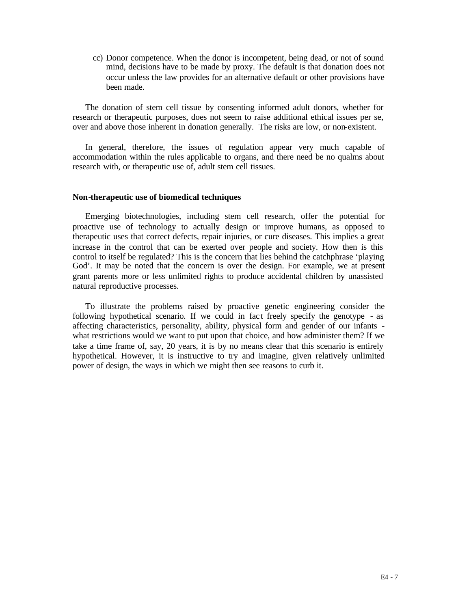cc) Donor competence. When the donor is incompetent, being dead, or not of sound mind, decisions have to be made by proxy. The default is that donation does not occur unless the law provides for an alternative default or other provisions have been made.

The donation of stem cell tissue by consenting informed adult donors, whether for research or therapeutic purposes, does not seem to raise additional ethical issues per se, over and above those inherent in donation generally. The risks are low, or non-existent.

In general, therefore, the issues of regulation appear very much capable of accommodation within the rules applicable to organs, and there need be no qualms about research with, or therapeutic use of, adult stem cell tissues.

#### **Non-therapeutic use of biomedical techniques**

Emerging biotechnologies, including stem cell research, offer the potential for proactive use of technology to actually design or improve humans, as opposed to therapeutic uses that correct defects, repair injuries, or cure diseases. This implies a great increase in the control that can be exerted over people and society. How then is this control to itself be regulated? This is the concern that lies behind the catchphrase 'playing God'. It may be noted that the concern is over the design. For example, we at present grant parents more or less unlimited rights to produce accidental children by unassisted natural reproductive processes.

To illustrate the problems raised by proactive genetic engineering consider the following hypothetical scenario. If we could in fac t freely specify the genotype - as affecting characteristics, personality, ability, physical form and gender of our infants what restrictions would we want to put upon that choice, and how administer them? If we take a time frame of, say, 20 years, it is by no means clear that this scenario is entirely hypothetical. However, it is instructive to try and imagine, given relatively unlimited power of design, the ways in which we might then see reasons to curb it.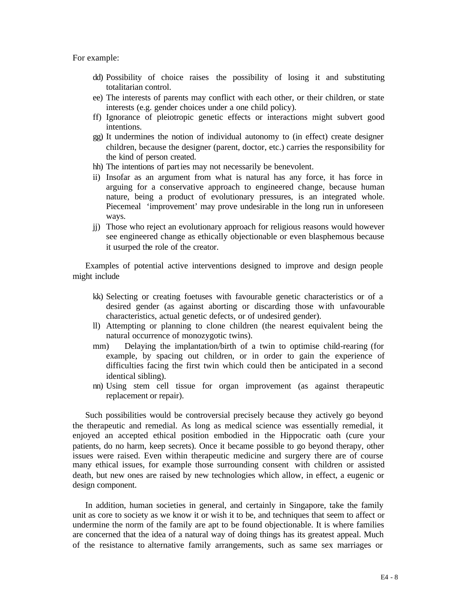For example:

- dd) Possibility of choice raises the possibility of losing it and substituting totalitarian control.
- ee) The interests of parents may conflict with each other, or their children, or state interests (e.g. gender choices under a one child policy).
- ff) Ignorance of pleiotropic genetic effects or interactions might subvert good intentions.
- gg) It undermines the notion of individual autonomy to (in effect) create designer children, because the designer (parent, doctor, etc.) carries the responsibility for the kind of person created.
- hh) The intentions of parties may not necessarily be benevolent.
- ii) Insofar as an argument from what is natural has any force, it has force in arguing for a conservative approach to engineered change, because human nature, being a product of evolutionary pressures, is an integrated whole. Piecemeal 'improvement' may prove undesirable in the long run in unforeseen ways.
- jj) Those who reject an evolutionary approach for religious reasons would however see engineered change as ethically objectionable or even blasphemous because it usurped the role of the creator.

Examples of potential active interventions designed to improve and design people might include

- kk) Selecting or creating foetuses with favourable genetic characteristics or of a desired gender (as against aborting or discarding those with unfavourable characteristics, actual genetic defects, or of undesired gender).
- ll) Attempting or planning to clone children (the nearest equivalent being the natural occurrence of monozygotic twins).
- mm) Delaying the implantation/birth of a twin to optimise child-rearing (for example, by spacing out children, or in order to gain the experience of difficulties facing the first twin which could then be anticipated in a second identical sibling).
- nn) Using stem cell tissue for organ improvement (as against therapeutic replacement or repair).

Such possibilities would be controversial precisely because they actively go beyond the therapeutic and remedial. As long as medical science was essentially remedial, it enjoyed an accepted ethical position embodied in the Hippocratic oath (cure your patients, do no harm, keep secrets). Once it became possible to go beyond therapy, other issues were raised. Even within therapeutic medicine and surgery there are of course many ethical issues, for example those surrounding consent with children or assisted death, but new ones are raised by new technologies which allow, in effect, a eugenic or design component.

In addition, human societies in general, and certainly in Singapore, take the family unit as core to society as we know it or wish it to be, and techniques that seem to affect or undermine the norm of the family are apt to be found objectionable. It is where families are concerned that the idea of a natural way of doing things has its greatest appeal. Much of the resistance to alternative family arrangements, such as same sex marriages or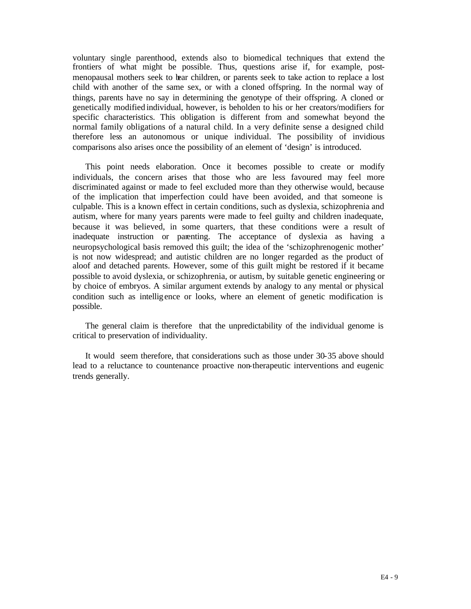voluntary single parenthood, extends also to biomedical techniques that extend the frontiers of what might be possible. Thus, questions arise if, for example, postmenopausal mothers seek to bear children, or parents seek to take action to replace a lost child with another of the same sex, or with a cloned offspring. In the normal way of things, parents have no say in determining the genotype of their offspring. A cloned or genetically modified individual, however, is beholden to his or her creators/modifiers for specific characteristics. This obligation is different from and somewhat beyond the normal family obligations of a natural child. In a very definite sense a designed child therefore less an autonomous or unique individual. The possibility of invidious comparisons also arises once the possibility of an element of 'design' is introduced.

This point needs elaboration. Once it becomes possible to create or modify individuals, the concern arises that those who are less favoured may feel more discriminated against or made to feel excluded more than they otherwise would, because of the implication that imperfection could have been avoided, and that someone is culpable. This is a known effect in certain conditions, such as dyslexia, schizophrenia and autism, where for many years parents were made to feel guilty and children inadequate, because it was believed, in some quarters, that these conditions were a result of inadequate instruction or parenting. The acceptance of dyslexia as having a neuropsychological basis removed this guilt; the idea of the 'schizophrenogenic mother' is not now widespread; and autistic children are no longer regarded as the product of aloof and detached parents. However, some of this guilt might be restored if it became possible to avoid dyslexia, or schizophrenia, or autism, by suitable genetic engineering or by choice of embryos. A similar argument extends by analogy to any mental or physical condition such as intelligence or looks, where an element of genetic modification is possible.

The general claim is therefore that the unpredictability of the individual genome is critical to preservation of individuality.

It would seem therefore, that considerations such as those under 30-35 above should lead to a reluctance to countenance proactive non-therapeutic interventions and eugenic trends generally.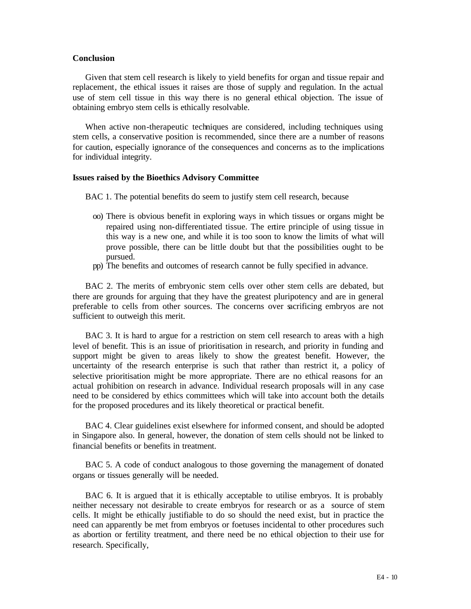## **Conclusion**

Given that stem cell research is likely to yield benefits for organ and tissue repair and replacement, the ethical issues it raises are those of supply and regulation. In the actual use of stem cell tissue in this way there is no general ethical objection. The issue of obtaining embryo stem cells is ethically resolvable.

When active non-therapeutic techniques are considered, including techniques using stem cells, a conservative position is recommended, since there are a number of reasons for caution, especially ignorance of the consequences and concerns as to the implications for individual integrity.

### **Issues raised by the Bioethics Advisory Committee**

BAC 1. The potential benefits do seem to justify stem cell research, because

- oo) There is obvious benefit in exploring ways in which tissues or organs might be repaired using non-differentiated tissue. The entire principle of using tissue in this way is a new one, and while it is too soon to know the limits of what will prove possible, there can be little doubt but that the possibilities ought to be pursued.
- pp) The benefits and outcomes of research cannot be fully specified in advance.

BAC 2. The merits of embryonic stem cells over other stem cells are debated, but there are grounds for arguing that they have the greatest pluripotency and are in general preferable to cells from other sources. The concerns over sacrificing embryos are not sufficient to outweigh this merit.

BAC 3. It is hard to argue for a restriction on stem cell research to areas with a high level of benefit. This is an issue of prioritisation in research, and priority in funding and support might be given to areas likely to show the greatest benefit. However, the uncertainty of the research enterprise is such that rather than restrict it, a policy of selective prioritisation might be more appropriate. There are no ethical reasons for an actual prohibition on research in advance. Individual research proposals will in any case need to be considered by ethics committees which will take into account both the details for the proposed procedures and its likely theoretical or practical benefit.

BAC 4. Clear guidelines exist elsewhere for informed consent, and should be adopted in Singapore also. In general, however, the donation of stem cells should not be linked to financial benefits or benefits in treatment.

BAC 5. A code of conduct analogous to those governing the management of donated organs or tissues generally will be needed.

BAC 6. It is argued that it is ethically acceptable to utilise embryos. It is probably neither necessary not desirable to create embryos for research or as a source of stem cells. It might be ethically justifiable to do so should the need exist, but in practice the need can apparently be met from embryos or foetuses incidental to other procedures such as abortion or fertility treatment, and there need be no ethical objection to their use for research. Specifically,